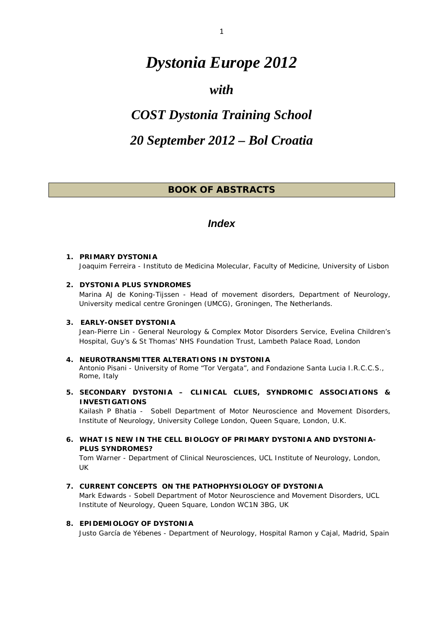# <span id="page-0-0"></span>*Dystonia Europe 2012*

## *with*

# *COST Dystonia Training School*

## *20 September 2012 – Bol Croatia*

## *BOOK OF ABSTRACTS*

## *Index*

#### **1. PRIMARY DYSTONIA**  Joaquim Ferreira - *Instituto de Medicina Molecular, Faculty of Medicine, University of Lisbon*

#### **2. DYSTONIA PLUS SYNDROMES**

Marina AJ de Koning-Tijssen - *Head of movement disorders, Department of Neurology, University medical centre Groningen (UMCG), Groningen, The Netherlands.* 

#### **3. EARLY-ONSET DYSTONIA**

Jean-Pierre Lin - *General Neurology & Complex Motor Disorders Service, Evelina Children's Hospital, Guy's & St Thomas' NHS Foundation Trust, Lambeth Palace Road, London* 

#### **4. NEUROTRANSMITTER ALTERATIONS IN DYSTONIA**

Antonio Pisani - *University of Rome "Tor Vergata", and Fondazione Santa Lucia I.R.C.C.S., Rome, Italy* 

*5.* **SECONDARY DYSTONIA – CLINICAL CLUES, SYNDROMIC ASSOCIATIONS & INVESTIGATIONS** 

Kailash P Bhatia - *Sobell Department of Motor Neuroscience and Movement Disorders, Institute of Neurology, University College London, Queen Square, London, U.K.* 

**6. WHAT IS NEW IN THE CELL BIOLOGY OF PRIMARY DYSTONIA AND DYSTONIA-PLUS SYNDROMES?** 

Tom Warner - *Department of Clinical Neurosciences, UCL Institute of Neurology, London, UK* 

**7. CURRENT CONCEPTS ON THE PATHOPHYSIOLOGY OF DYSTONIA** 

Mark Edwards - *Sobell Department of Motor Neuroscience and Movement Disorders, UCL Institute of Neurology, Queen Square, London WC1N 3BG, UK* 

#### **8. EPIDEMIOLOGY OF DYSTONIA**

Justo García de Yébenes - *Department of Neurology, Hospital Ramon y Cajal, Madrid, Spain*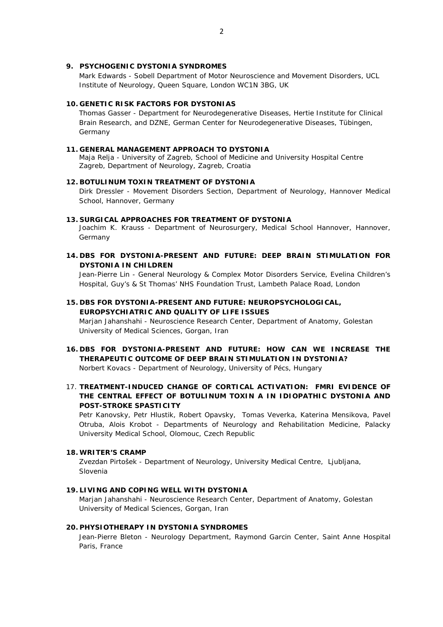#### **9. PSYCHOGENIC DYSTONIA SYNDROMES**

Mark Edwards - *Sobell Department of Motor Neuroscience and Movement Disorders, UCL Institute of Neurology, Queen Square, London WC1N 3BG, UK* 

#### **10. GENETIC RISK FACTORS FOR DYSTONIAS**

Thomas Gasser - *Department for Neurodegenerative Diseases, Hertie Institute for Clinical Brain Research, and DZNE, German Center for Neurodegenerative Diseases, Tübingen, Germany* 

#### **11. GENERAL MANAGEMENT APPROACH TO DYSTONIA**

Maja Relja - *University of Zagreb, School of Medicine and University Hospital Centre Zagreb, Department of Neurology, Zagreb, Croatia*

#### **12. BOTULINUM TOXIN TREATMENT OF DYSTONIA**

Dirk Dressler - *Movement Disorders Section, Department of Neurology, Hannover Medical School, Hannover, Germany* 

#### **13. SURGICAL APPROACHES FOR TREATMENT OF DYSTONIA**

Joachim K. Krauss - *Department of Neurosurgery, Medical School Hannover, Hannover, Germany* 

#### **14. DBS FOR DYSTONIA-PRESENT AND FUTURE: DEEP BRAIN STIMULATION FOR DYSTONIA IN CHILDREN**

Jean-Pierre Lin - *General Neurology & Complex Motor Disorders Service*, *Evelina Children's Hospital, Guy's & St Thomas' NHS Foundation Trust, Lambeth Palace Road, London* 

#### **15. DBS FOR DYSTONIA-PRESENT AND FUTURE: NEUROPSYCHOLOGICAL, EUROPSYCHIATRIC AND QUALITY OF LIFE ISSUES**

Marjan Jahanshahi - *Neuroscience Research Center, Department of Anatomy, Golestan University of Medical Sciences, Gorgan, Iran* 

## **16. DBS FOR DYSTONIA-PRESENT AND FUTURE: HOW CAN WE INCREASE THE THERAPEUTIC OUTCOME OF DEEP BRAIN STIMULATION IN DYSTONIA?**

Norbert Kovacs - *Department of Neurology, University of Pécs, Hungary* 

#### 17. **TREATMENT-INDUCED CHANGE OF CORTICAL ACTIVATION: FMRI EVIDENCE OF THE CENTRAL EFFECT OF BOTULINUM TOXIN A IN IDIOPATHIC DYSTONIA AND POST-STROKE SPASTICITY**

Petr Kanovsky, Petr Hlustik, Robert Opavsky, Tomas Veverka, Katerina Mensikova, Pavel Otruba, Alois Krobot - *Departments of Neurology and Rehabilitation Medicine, Palacky University Medical School, Olomouc, Czech Republic*

#### **18. WRITER'S CRAMP**

Zvezdan Pirtošek - *Department of Neurology, University Medical Centre, Ljubljana, Slovenia* 

#### **19. LIVING AND COPING WELL WITH DYSTONIA**

Marjan Jahanshahi - *Neuroscience Research Center, Department of Anatomy, Golestan University of Medical Sciences, Gorgan, Iran* 

#### **20. PHYSIOTHERAPY IN DYSTONIA SYNDROMES**

Jean-Pierre Bleton - *Neurology Department, Raymond Garcin Center, Saint Anne Hospital Paris, France*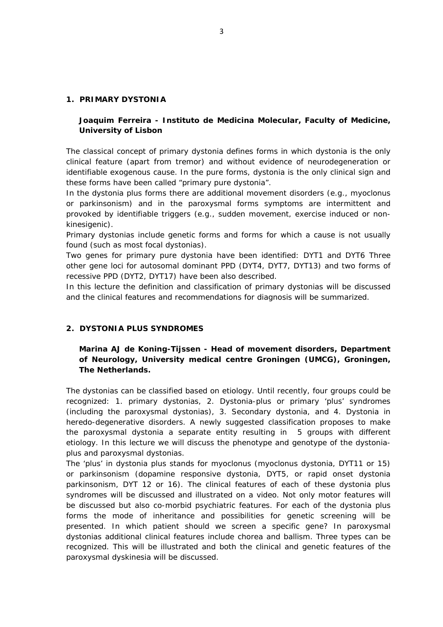#### **1. PRIMARY DYSTONIA**

## **Joaquim Ferreira -** *Instituto de Medicina Molecular, Faculty of Medicine, University of Lisbon*

The classical concept of primary dystonia defines forms in which dystonia is the only clinical feature (apart from tremor) and without evidence of neurodegeneration or identifiable exogenous cause. In the pure forms, dystonia is the only clinical sign and these forms have been called "primary pure dystonia".

In the dystonia plus forms there are additional movement disorders (e.g., myoclonus or parkinsonism) and in the paroxysmal forms symptoms are intermittent and provoked by identifiable triggers (e.g., sudden movement, exercise induced or nonkinesigenic).

Primary dystonias include genetic forms and forms for which a cause is not usually found (such as most [focal dystonias\)](http://www.dystonia-foundation.org/pages/focal_dystonias/42.php).

Two genes for primary pure dystonia have been identified: DYT1 and DYT6 Three other gene loci for autosomal dominant PPD (DYT4, DYT7, DYT13) and two forms of recessive PPD (DYT2, DYT17) have been also described.

In this lecture the definition and classification of primary dystonias will be discussed and the clinical features and recommendations for diagnosis will be summarized.

#### **2. DYSTONIA PLUS SYNDROMES**

## **Marina AJ de Koning-Tijssen -** *Head of movement disorders, Department of Neurology, University medical centre Groningen (UMCG), Groningen, The Netherlands.*

The dystonias can be classified based on etiology. Until recently, four groups could be recognized: 1. primary dystonias, 2. Dystonia-plus or primary 'plus' syndromes (including the paroxysmal dystonias), 3. Secondary dystonia, and 4. Dystonia in heredo-degenerative disorders. A newly suggested classification proposes to make the paroxysmal dystonia a separate entity resulting in 5 groups with different etiology. In this lecture we will discuss the phenotype and genotype of the dystoniaplus and paroxysmal dystonias.

The 'plus' in dystonia plus stands for *myoclonus* (myoclonus dystonia, DYT11 or 15) or *parkinsonism* (dopamine responsive dystonia, DYT5, or rapid onset dystonia parkinsonism, DYT 12 or 16). The clinical features of each of these dystonia plus syndromes will be discussed and illustrated on a video. Not only motor features will be discussed but also co-morbid psychiatric features. For each of the dystonia plus forms the mode of inheritance and possibilities for genetic screening will be presented. In which patient should we screen a specific gene? In paroxysmal dystonias additional clinical features include *chorea and ballism*. Three types can be recognized. This will be illustrated and both the clinical and genetic features of the paroxysmal dyskinesia will be discussed.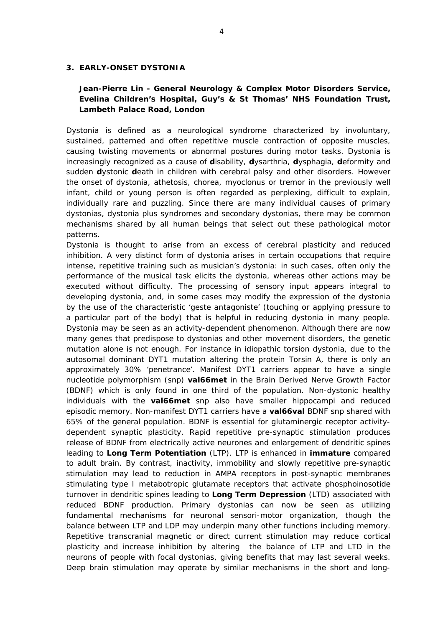#### **3. EARLY-ONSET DYSTONIA**

## **Jean-Pierre Lin -** *General Neurology & Complex Motor Disorders Service, Evelina Children's Hospital, Guy's & St Thomas' NHS Foundation Trust, Lambeth Palace Road, London*

Dystonia is defined as a neurological syndrome characterized by involuntary, sustained, patterned and often repetitive muscle contraction of opposite muscles, causing twisting movements or abnormal postures during motor tasks. Dystonia is increasingly recognized as a cause of **d**isability, **d**ysarthria, **d**ysphagia, **d**eformity and sudden **d**ystonic **d**eath in children with cerebral palsy and other disorders. However the onset of dystonia, athetosis, chorea, myoclonus or tremor in the previously well infant, child or young person is often regarded as perplexing, difficult to explain, individually rare and puzzling. Since there are many individual causes of primary dystonias, dystonia plus syndromes and secondary dystonias, there may be common mechanisms shared by all human beings that select out these pathological motor patterns.

Dystonia is thought to arise from an excess of cerebral plasticity and reduced inhibition. A very distinct form of dystonia arises in certain occupations that require intense, repetitive training such as musician's dystonia: in such cases, often only the performance of the musical task elicits the dystonia, whereas other actions may be executed without difficulty. The processing of sensory input appears integral to developing dystonia, and, in some cases may modify the expression of the dystonia by the use of the characteristic *'geste antagoniste'* (touching or applying pressure to a particular part of the body) that is helpful in reducing dystonia in many people. Dystonia may be seen as an activity-dependent phenomenon. Although there are now many genes that predispose to dystonias and other movement disorders, the genetic mutation alone is not enough. For instance in idiopathic torsion dystonia, due to the autosomal dominant DYT1 mutation altering the protein Torsin A, there is only an approximately 30% *'penetrance'*. Manifest DYT1 carriers appear to have a single nucleotide polymorphism (snp) *val66met* in the Brain Derived Nerve Growth Factor (BDNF) which is only found in one third of the population. Non-dystonic healthy individuals with the *val66met* snp also have smaller hippocampi and reduced episodic memory. Non-manifest DYT1 carriers have a *val66val* BDNF snp shared with 65% of the general population. BDNF is essential for glutaminergic receptor activitydependent synaptic plasticity. Rapid repetitive pre-synaptic stimulation produces release of BDNF from electrically active neurones and enlargement of dendritic spines leading to *Long Term Potentiation* (LTP). LTP is enhanced in *immature* compared to adult brain. By contrast, inactivity, immobility and slowly repetitive pre-synaptic stimulation may lead to reduction in AMPA receptors in post-synaptic membranes stimulating type I metabotropic glutamate receptors that activate phosphoinosotide turnover in dendritic spines leading to *Long Term Depression* (LTD) associated with reduced BDNF production. Primary dystonias can now be seen as utilizing fundamental mechanisms for neuronal sensori-motor organization, though the balance between LTP and LDP may underpin many other functions including memory. Repetitive transcranial magnetic or direct current stimulation may reduce cortical plasticity and increase inhibition by altering the balance of LTP and LTD in the neurons of people with focal dystonias, giving benefits that may last several weeks. Deep brain stimulation may operate by similar mechanisms in the short and long-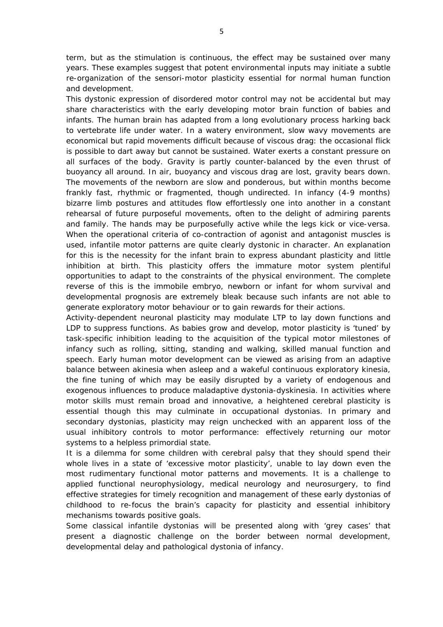term, but as the stimulation is continuous, the effect may be sustained over many years. These examples suggest that potent environmental inputs may initiate a subtle re-organization of the sensori-motor plasticity essential for normal human function and development.

This dystonic expression of disordered motor control may not be accidental but may share characteristics with the early developing motor brain function of babies and infants. The human brain has adapted from a long evolutionary process harking back to vertebrate life under water. In a watery environment, slow wavy movements are economical but rapid movements difficult because of viscous drag: the occasional flick is possible to dart away but cannot be sustained. Water exerts a constant pressure on all surfaces of the body. Gravity is partly counter-balanced by the even thrust of buoyancy all around. In air, buoyancy and viscous drag are lost, gravity bears down. The movements of the newborn are slow and ponderous, but within months become frankly fast, rhythmic or fragmented, though undirected. In infancy (4-9 months) bizarre limb postures and attitudes flow effortlessly one into another in a constant rehearsal of future purposeful movements, often to the delight of admiring parents and family. The hands may be purposefully active while the legs kick or vice-versa. When the operational criteria of co-contraction of agonist and antagonist muscles is used, infantile motor patterns are quite clearly dystonic in character. An explanation for this is the necessity for the infant brain to express abundant plasticity and little inhibition at birth. This plasticity offers the immature motor system plentiful opportunities to adapt to the constraints of the physical environment. The complete reverse of this is the immobile embryo, newborn or infant for whom survival and developmental prognosis are extremely bleak because such infants are not able to generate exploratory motor behaviour or to gain rewards for their actions.

Activity-dependent neuronal plasticity may modulate LTP to lay down functions and LDP to suppress functions. As babies grow and develop, motor plasticity is 'tuned' by task-specific inhibition leading to the acquisition of the typical motor milestones of infancy such as rolling, sitting, standing and walking, skilled manual function and speech. Early human motor development can be viewed as arising from an adaptive balance between akinesia when asleep and a wakeful continuous exploratory kinesia, the fine tuning of which may be easily disrupted by a variety of endogenous and exogenous influences to produce maladaptive dystonia-dyskinesia. In activities where motor skills must remain broad and innovative, a heightened cerebral plasticity is essential though this may culminate in occupational dystonias. In primary and secondary dystonias, plasticity may reign unchecked with an apparent loss of the usual inhibitory controls to motor performance: effectively returning our motor systems to a helpless primordial state.

It is a dilemma for some children with cerebral palsy that they should spend their whole lives in a state of 'excessive motor plasticity', unable to lay down even the most rudimentary functional motor patterns and movements. It is a challenge to applied functional neurophysiology, medical neurology and neurosurgery, to find effective strategies for timely recognition and management of these early dystonias of childhood to re-focus the brain's capacity for plasticity and essential inhibitory mechanisms towards positive goals.

Some classical infantile dystonias will be presented along with 'grey cases' that present a diagnostic challenge on the border between normal development, developmental delay and pathological dystonia of infancy.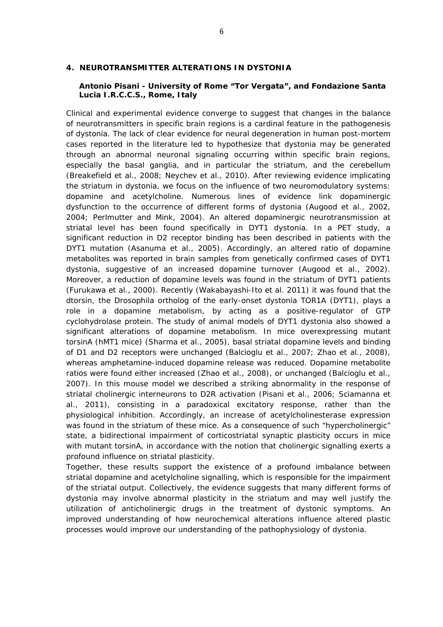#### **4. NEUROTRANSMITTER ALTERATIONS IN DYSTONIA**

#### **Antonio Pisani -** *University of Rome "Tor Vergata", and Fondazione Santa Lucia I.R.C.C.S., Rome, Italy*

Clinical and experimental evidence converge to suggest that changes in the balance of neurotransmitters in specific brain regions is a cardinal feature in the pathogenesis of dystonia. The lack of clear evidence for neural degeneration in human post-mortem cases reported in the literature led to hypothesize that dystonia may be generated through an abnormal neuronal signaling occurring within specific brain regions, especially the basal ganglia, and in particular the striatum, and the cerebellum (Breakefield et al., 2008; Neychev et al., 2010). After reviewing evidence implicating the striatum in dystonia, we focus on the influence of two neuromodulatory systems: dopamine and acetylcholine. Numerous lines of evidence link dopaminergic dysfunction to the occurrence of different forms of dystonia (Augood et al., 2002, 2004; Perlmutter and Mink, 2004). An altered dopaminergic neurotransmission at striatal level has been found specifically in DYT1 dystonia. In a PET study, a significant reduction in D2 receptor binding has been described in patients with the DYT1 mutation (Asanuma et al., 2005). Accordingly, an altered ratio of dopamine metabolites was reported in brain samples from genetically confirmed cases of DYT1 dystonia, suggestive of an increased dopamine turnover (Augood et al., 2002). Moreover, a reduction of dopamine levels was found in the striatum of DYT1 patients (Furukawa et al., 2000). Recently (Wakabayashi-Ito et al. 2011) it was found that the dtorsin, the Drosophila ortholog of the early-onset dystonia TOR1A (DYT1), plays a role in a dopamine metabolism, by acting as a positive-regulator of GTP cyclohydrolase protein. The study of animal models of DYT1 dystonia also showed a significant alterations of dopamine metabolism. In mice overexpressing mutant torsinA (hMT1 mice) (Sharma et al., 2005), basal striatal dopamine levels and binding of D1 and D2 receptors were unchanged (Balcioglu et al., 2007; Zhao et al., 2008), whereas amphetamine-induced dopamine release was reduced. Dopamine metabolite ratios were found either increased (Zhao et al., 2008), or unchanged (Balcioglu et al., 2007). In this mouse model we described a striking abnormality in the response of striatal cholinergic interneurons to D2R activation (Pisani et al., 2006; Sciamanna et al., 2011), consisting in a paradoxical excitatory response, rather than the physiological inhibition. Accordingly, an increase of acetylcholinesterase expression was found in the striatum of these mice. As a consequence of such "hypercholinergic" state, a bidirectional impairment of corticostriatal synaptic plasticity occurs in mice with mutant torsinA, in accordance with the notion that cholinergic signalling exerts a profound influence on striatal plasticity.

Together, these results support the existence of a profound imbalance between striatal dopamine and acetylcholine signalling, which is responsible for the impairment of the striatal output. Collectively, the evidence suggests that many different forms of dystonia may involve abnormal plasticity in the striatum and may well justify the utilization of anticholinergic drugs in the treatment of dystonic symptoms. An improved understanding of how neurochemical alterations influence altered plastic processes would improve our understanding of the pathophysiology of dystonia.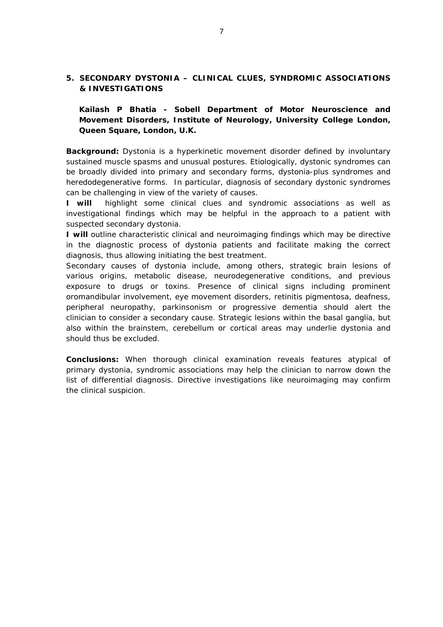## **5. SECONDARY DYSTONIA – CLINICAL CLUES, SYNDROMIC ASSOCIATIONS & INVESTIGATIONS**

**Kailash P Bhatia -** *Sobell Department of Motor Neuroscience and Movement Disorders, Institute of Neurology, University College London, Queen Square, London, U.K.* 

**Background:** Dystonia is a hyperkinetic movement disorder defined by involuntary sustained muscle spasms and unusual postures. Etiologically, dystonic syndromes can be broadly divided into primary and secondary forms, dystonia-plus syndromes and heredodegenerative forms. In particular, diagnosis of secondary dystonic syndromes can be challenging in view of the variety of causes.

**I will** highlight some clinical clues and syndromic associations as well as investigational findings which may be helpful in the approach to a patient with suspected secondary dystonia.

**I will** outline characteristic clinical and neuroimaging findings which may be directive in the diagnostic process of dystonia patients and facilitate making the correct diagnosis, thus allowing initiating the best treatment.

Secondary causes of dystonia include, among others, strategic brain lesions of various origins, metabolic disease, neurodegenerative conditions, and previous exposure to drugs or toxins. Presence of clinical signs including prominent oromandibular involvement, eye movement disorders, retinitis pigmentosa, deafness, peripheral neuropathy, parkinsonism or progressive dementia should alert the clinician to consider a secondary cause. Strategic lesions within the basal ganglia, but also within the brainstem, cerebellum or cortical areas may underlie dystonia and should thus be excluded.

**Conclusions:** When thorough clinical examination reveals features atypical of primary dystonia, syndromic associations may help the clinician to narrow down the list of differential diagnosis. Directive investigations like neuroimaging may confirm the clinical suspicion.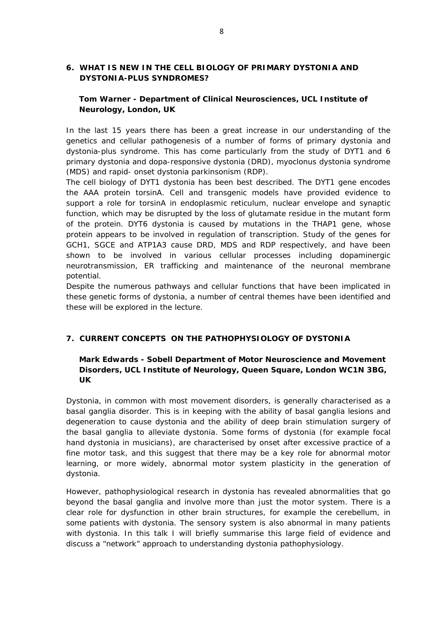## **6. WHAT IS NEW IN THE CELL BIOLOGY OF PRIMARY DYSTONIA AND DYSTONIA-PLUS SYNDROMES?**

## **Tom Warner -** *Department of Clinical Neurosciences, UCL Institute of Neurology, London, UK*

In the last 15 years there has been a great increase in our understanding of the genetics and cellular pathogenesis of a number of forms of primary dystonia and dystonia-plus syndrome. This has come particularly from the study of DYT1 and 6 primary dystonia and dopa-responsive dystonia (DRD), myoclonus dystonia syndrome (MDS) and rapid- onset dystonia parkinsonism (RDP).

The cell biology of DYT1 dystonia has been best described. The *DYT1* gene encodes the AAA protein torsinA. Cell and transgenic models have provided evidence to support a role for torsinA in endoplasmic reticulum, nuclear envelope and synaptic function, which may be disrupted by the loss of glutamate residue in the mutant form of the protein. DYT6 dystonia is caused by mutations in the *THAP1* gene, whose protein appears to be involved in regulation of transcription. Study of the genes for *GCH1, SGCE* and *ATP1A3* cause DRD, MDS and RDP respectively, and have been shown to be involved in various cellular processes including dopaminergic neurotransmission, ER trafficking and maintenance of the neuronal membrane potential.

Despite the numerous pathways and cellular functions that have been implicated in these genetic forms of dystonia, a number of central themes have been identified and these will be explored in the lecture.

## **7. CURRENT CONCEPTS ON THE PATHOPHYSIOLOGY OF DYSTONIA**

## **Mark Edwards -** *Sobell Department of Motor Neuroscience and Movement Disorders, UCL Institute of Neurology, Queen Square, London WC1N 3BG, UK*

Dystonia, in common with most movement disorders, is generally characterised as a basal ganglia disorder. This is in keeping with the ability of basal ganglia lesions and degeneration to cause dystonia and the ability of deep brain stimulation surgery of the basal ganglia to alleviate dystonia. Some forms of dystonia (for example focal hand dystonia in musicians), are characterised by onset after excessive practice of a fine motor task, and this suggest that there may be a key role for abnormal motor learning, or more widely, abnormal motor system plasticity in the generation of dystonia.

However, pathophysiological research in dystonia has revealed abnormalities that go beyond the basal ganglia and involve more than just the motor system. There is a clear role for dysfunction in other brain structures, for example the cerebellum, in some patients with dystonia. The sensory system is also abnormal in many patients with dystonia. In this talk I will briefly summarise this large field of evidence and discuss a "network" approach to understanding dystonia pathophysiology.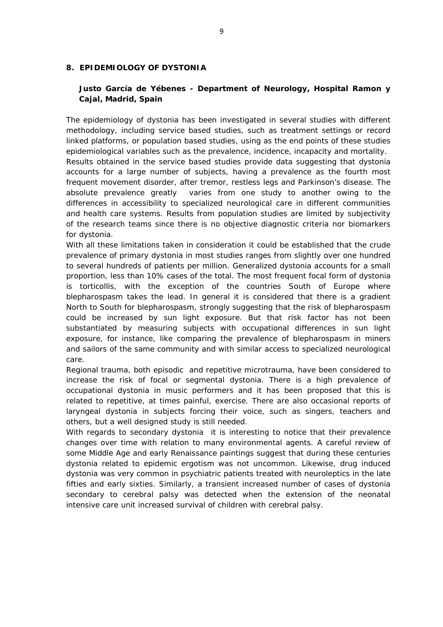#### **8. EPIDEMIOLOGY OF DYSTONIA**

for dystonia.

## **Justo García de Yébenes -** *Department of Neurology, Hospital Ramon y Cajal, Madrid, Spain*

The epidemiology of dystonia has been investigated in several studies with different methodology, including service based studies, such as treatment settings or record linked platforms, or population based studies, using as the end points of these studies epidemiological variables such as the prevalence, incidence, incapacity and mortality. Results obtained in the service based studies provide data suggesting that dystonia accounts for a large number of subjects, having a prevalence as the fourth most frequent movement disorder, after tremor, restless legs and Parkinson's disease. The absolute prevalence greatly varies from one study to another owing to the differences in accessibility to specialized neurological care in different communities and health care systems. Results from population studies are limited by subjectivity of the research teams since there is no objective diagnostic criteria nor biomarkers

With all these limitations taken in consideration it could be established that the crude prevalence of primary dystonia in most studies ranges from slightly over one hundred to several hundreds of patients per million. Generalized dystonia accounts for a small proportion, less than 10% cases of the total. The most frequent focal form of dystonia is torticollis, with the exception of the countries South of Europe where blepharospasm takes the lead. In general it is considered that there is a gradient North to South for blepharospasm, strongly suggesting that the risk of blepharospasm could be increased by sun light exposure. But that risk factor has not been substantiated by measuring subjects with occupational differences in sun light exposure, for instance, like comparing the prevalence of blepharospasm in miners and sailors of the same community and with similar access to specialized neurological care.

Regional trauma, both episodic and repetitive microtrauma, have been considered to increase the risk of focal or segmental dystonia. There is a high prevalence of occupational dystonia in music performers and it has been proposed that this is related to repetitive, at times painful, exercise. There are also occasional reports of laryngeal dystonia in subjects forcing their voice, such as singers, teachers and others, but a well designed study is still needed.

With regards to secondary dystonia it is interesting to notice that their prevalence changes over time with relation to many environmental agents. A careful review of some Middle Age and early Renaissance paintings suggest that during these centuries dystonia related to epidemic ergotism was not uncommon. Likewise, drug induced dystonia was very common in psychiatric patients treated with neuroleptics in the late fifties and early sixties. Similarly, a transient increased number of cases of dystonia secondary to cerebral palsy was detected when the extension of the neonatal intensive care unit increased survival of children with cerebral palsy.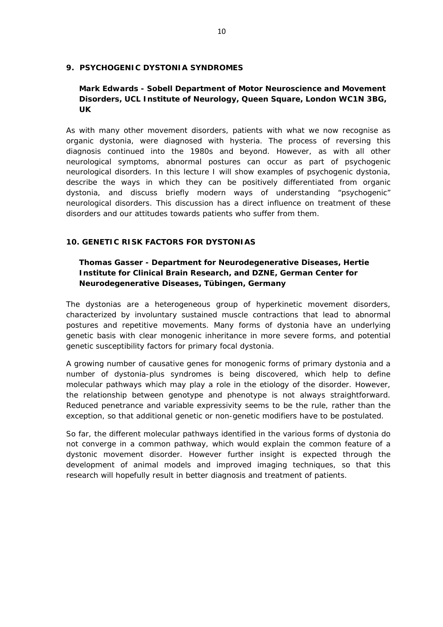#### **9. PSYCHOGENIC DYSTONIA SYNDROMES**

## **Mark Edwards -** *Sobell Department of Motor Neuroscience and Movement Disorders, UCL Institute of Neurology, Queen Square, London WC1N 3BG, UK*

As with many other movement disorders, patients with what we now recognise as organic dystonia, were diagnosed with hysteria. The process of reversing this diagnosis continued into the 1980s and beyond. However, as with all other neurological symptoms, abnormal postures can occur as part of psychogenic neurological disorders. In this lecture I will show examples of psychogenic dystonia, describe the ways in which they can be positively differentiated from organic dystonia, and discuss briefly modern ways of understanding "psychogenic" neurological disorders. This discussion has a direct influence on treatment of these disorders and our attitudes towards patients who suffer from them.

#### **10. GENETIC RISK FACTORS FOR DYSTONIAS**

## **Thomas Gasser -** *Department for Neurodegenerative Diseases, Hertie Institute for Clinical Brain Research, and DZNE, German Center for Neurodegenerative Diseases, Tübingen, Germany*

The dystonias are a heterogeneous group of hyperkinetic movement disorders, characterized by involuntary sustained muscle contractions that lead to abnormal postures and repetitive movements. Many forms of dystonia have an underlying genetic basis with clear monogenic inheritance in more severe forms, and potential genetic susceptibility factors for primary focal dystonia.

A growing number of causative genes for monogenic forms of primary dystonia and a number of dystonia-plus syndromes is being discovered, which help to define molecular pathways which may play a role in the etiology of the disorder. However, the relationship between genotype and phenotype is not always straightforward. Reduced penetrance and variable expressivity seems to be the rule, rather than the exception, so that additional genetic or non-genetic modifiers have to be postulated.

So far, the different molecular pathways identified in the various forms of dystonia do not converge in a common pathway, which would explain the common feature of a dystonic movement disorder. However further insight is expected through the development of animal models and improved imaging techniques, so that this research will hopefully result in better diagnosis and treatment of patients.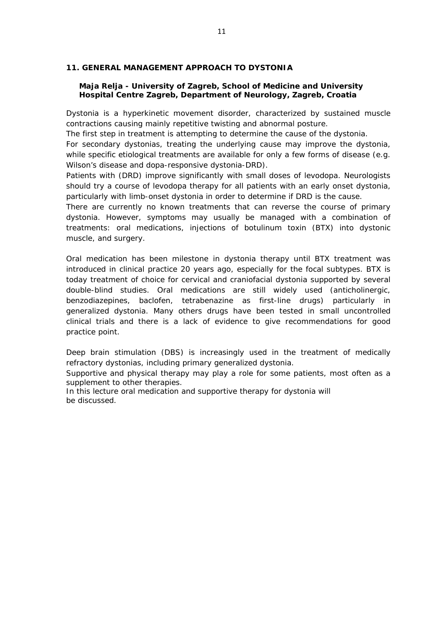#### **11. GENERAL MANAGEMENT APPROACH TO DYSTONIA**

#### **Maja Relja -** *University of Zagreb, School of Medicine and University Hospital Centre Zagreb, Department of Neurology, Zagreb, Croatia*

Dystonia is a hyperkinetic movement disorder, characterized by sustained muscle contractions causing mainly repetitive twisting and abnormal posture.

The first step in treatment is attempting to determine the cause of the dystonia.

For secondary dystonias, treating the underlying cause may improve the dystonia, while specific etiological treatments are available for only a few forms of disease (e.g. Wilson's disease and dopa-responsive dystonia-DRD).

Patients with (DRD) improve significantly with small doses of levodopa. Neurologists should try a course of levodopa therapy for all patients with an early onset dystonia, particularly with limb-onset dystonia in order to determine if DRD is the cause.

There are currently no known treatments that can reverse the course of primary dystonia. However, symptoms may usually be managed with a combination of treatments: oral medications, injections of botulinum toxin (BTX) into dystonic muscle, and surgery.

Oral medication has been milestone in dystonia therapy until BTX treatment was introduced in clinical practice 20 years ago, especially for the focal subtypes. BTX is today treatment of choice for cervical and craniofacial dystonia supported by several double-blind studies. Oral medications are still widely used (anticholinergic, benzodiazepines, baclofen, tetrabenazine as first-line drugs) particularly in generalized dystonia. Many others drugs have been tested in small uncontrolled clinical trials and there is a lack of evidence to give recommendations for good practice point.

Deep brain stimulation (DBS) is increasingly used in the treatment of medically refractory dystonias, including primary generalized dystonia.

Supportive and physical therapy may play a role for some patients, most often as a supplement to other therapies.

In this lecture oral medication and supportive therapy for dystonia will be discussed.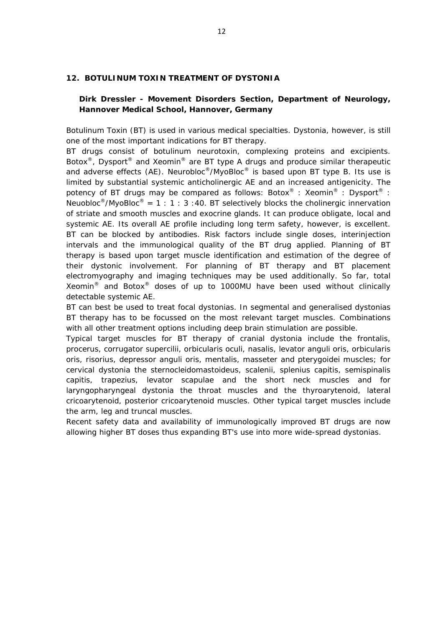#### **12. BOTULINUM TOXIN TREATMENT OF DYSTONIA**

#### **Dirk Dressler -** *Movement Disorders Section, Department of Neurology, Hannover Medical School, Hannover, Germany*

Botulinum Toxin (BT) is used in various medical specialties. Dystonia, however, is still one of the most important indications for BT therapy.

BT drugs consist of botulinum neurotoxin, complexing proteins and excipients. Botox<sup>®</sup>, Dysport<sup>®</sup> and Xeomin<sup>®</sup> are BT type A drugs and produce similar therapeutic and adverse effects (AE). Neurobloc<sup>®</sup>/MyoBloc<sup>®</sup> is based upon BT type B. Its use is limited by substantial systemic anticholinergic AE and an increased antigenicity. The potency of BT drugs may be compared as follows: Botox<sup>®</sup> : Xeomin<sup>®</sup> : Dysport<sup>®</sup> : Neuobloc<sup>®</sup>/MyoBloc<sup>®</sup> = 1 : 1 : 3 : 40. BT selectively blocks the cholinergic innervation of striate and smooth muscles and exocrine glands. It can produce obligate, local and systemic AE. Its overall AE profile including long term safety, however, is excellent. BT can be blocked by antibodies. Risk factors include single doses, interinjection intervals and the immunological quality of the BT drug applied. Planning of BT therapy is based upon target muscle identification and estimation of the degree of their dystonic involvement. For planning of BT therapy and BT placement electromyography and imaging techniques may be used additionally. So far, total Xeomin<sup>®</sup> and Botox<sup>®</sup> doses of up to 1000MU have been used without clinically detectable systemic AE.

BT can best be used to treat focal dystonias. In segmental and generalised dystonias BT therapy has to be focussed on the most relevant target muscles. Combinations with all other treatment options including deep brain stimulation are possible.

Typical target muscles for BT therapy of cranial dystonia include the frontalis, procerus, corrugator supercilii, orbicularis oculi, nasalis, levator anguli oris, orbicularis oris, risorius, depressor anguli oris, mentalis, masseter and pterygoidei muscles; for cervical dystonia the sternocleidomastoideus, scalenii, splenius capitis, semispinalis capitis, trapezius, levator scapulae and the short neck muscles and for laryngopharyngeal dystonia the throat muscles and the thyroarytenoid, lateral cricoarytenoid, posterior cricoarytenoid muscles. Other typical target muscles include the arm, leg and truncal muscles.

Recent safety data and availability of immunologically improved BT drugs are now allowing higher BT doses thus expanding BT's use into more wide-spread dystonias.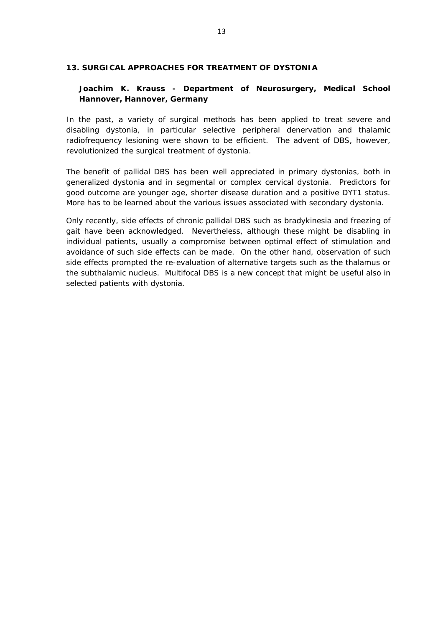#### **13. SURGICAL APPROACHES FOR TREATMENT OF DYSTONIA**

## **Joachim K. Krauss -** *Department of Neurosurgery, Medical School Hannover, Hannover, Germany*

In the past, a variety of surgical methods has been applied to treat severe and disabling dystonia, in particular selective peripheral denervation and thalamic radiofrequency lesioning were shown to be efficient. The advent of DBS, however, revolutionized the surgical treatment of dystonia.

The benefit of pallidal DBS has been well appreciated in primary dystonias, both in generalized dystonia and in segmental or complex cervical dystonia. Predictors for good outcome are younger age, shorter disease duration and a positive DYT1 status. More has to be learned about the various issues associated with secondary dystonia.

Only recently, side effects of chronic pallidal DBS such as bradykinesia and freezing of gait have been acknowledged. Nevertheless, although these might be disabling in individual patients, usually a compromise between optimal effect of stimulation and avoidance of such side effects can be made. On the other hand, observation of such side effects prompted the re-evaluation of alternative targets such as the thalamus or the subthalamic nucleus. Multifocal DBS is a new concept that might be useful also in selected patients with dystonia.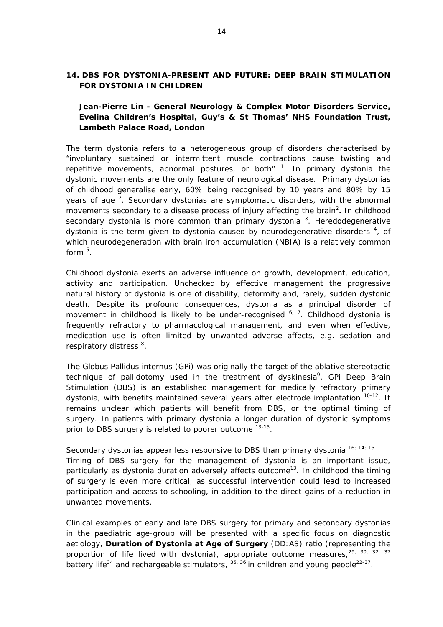### **14. DBS FOR DYSTONIA-PRESENT AND FUTURE: DEEP BRAIN STIMULATION FOR DYSTONIA IN CHILDREN**

**Jean-Pierre Lin -** *General Neurology & Complex Motor Disorders Service***,**  *Evelina Children's Hospital, Guy's & St Thomas' NHS Foundation Trust, Lambeth Palace Road, London*

The term dystonia refers to a heterogeneous group of disorders characterised by "*involuntary sustained or intermittent muscle contractions cause twisting and*  repetitive movements, abnormal postures, or both<sup>" [1](#page-0-0)</sup>. In primary dystonia the dystonic movements are the only feature of neurological disease. Primary dystonias of childhood generalise early, 60% being recognised by 10 years and 80% by 15 years of age  $2$ . Secondary dystonias are symptomatic disorders, with the abnormal movements secondary to a disease process of injury affecting the brain<sup>[2](#page-0-0)</sup>. In childhood secondary dystonia is more common than primary dystonia  $3$ . Heredodegenerative dystonia is the term given to dystonia caused by neurodegenerative disorders  $4$ , of which neurodegeneration with brain iron accumulation (NBIA) is a relatively common form [5](#page-0-0) .

Childhood dystonia exerts an adverse influence on growth, development, education, activity and participation. Unchecked by effective management the progressive natural history of dystonia is one of disability, deformity and, rarely, sudden dystonic death. Despite its profound consequences, dystonia as a principal disorder of movement in childhood is likely to be under-recognised  $67$  $67$ . Childhood dystonia is frequently refractory to pharmacological management, and even when effective, medication use is often limited by unwanted adverse affects, e.g. sedation and respiratory distress  $8$ .

The Globus Pallidus internus (GPi) was originally the target of the ablative stereotactic technique of pallidotomy used in the treatment of dyskinesia<sup>[9](#page-0-0)</sup>. GPi Deep Brain Stimulation (DBS) is an established management for medically refractory primary dystonia, with benefits maintained several years after electrode implantation <sup>[10-12](#page-0-0)</sup>. It remains unclear which patients will benefit from DBS, or the optimal timing of surgery. In patients with primary dystonia a longer duration of dystonic symptoms prior to DBS surgery is related to poorer outcome <sup>[13-15](#page-0-0)</sup>.

Secondary dystonias appear less responsive to DBS than primary dystonia  $16$ ;  $14$ ;  $15$ Timing of DBS surgery for the management of dystonia is an important issue, particularly as dystonia duration adversely affects outcome<sup>13</sup>. In childhood the timing of surgery is even more critical, as successful intervention could lead to increased participation and access to schooling, in addition to the direct gains of a reduction in unwanted movements.

Clinical examples of early and late DBS surgery for primary and secondary dystonias in the paediatric age-group will be presented with a specific focus on diagnostic aetiology, *Duration of Dystonia at Age of Surgery* (DD:AS) ratio (representing the proportion of life lived with dystonia), appropriate outcome measures,<sup>29, 30, 32, 37</sup> battery life<sup>34</sup> and rechargeable stimulators,  $35, 36$  in children and young people<sup>22-37</sup>.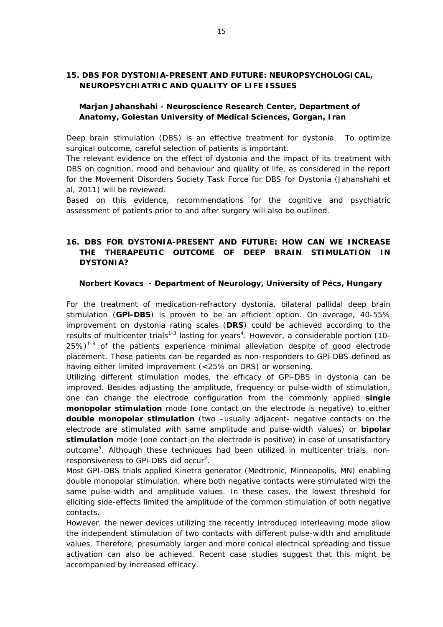## **15. DBS FOR DYSTONIA-PRESENT AND FUTURE: NEUROPSYCHOLOGICAL, NEUROPSYCHIATRIC AND QUALITY OF LIFE ISSUES**

## **Marjan Jahanshahi -** *Neuroscience Research Center, Department of Anatomy, Golestan University of Medical Sciences, Gorgan, Iran*

Deep brain stimulation (DBS) is an effective treatment for dystonia. To optimize surgical outcome, careful selection of patients is important.

The relevant evidence on the effect of dystonia and the impact of its treatment with DBS on cognition, mood and behaviour and quality of life, as considered in the report for the Movement Disorders Society Task Force for DBS for Dystonia (Jahanshahi et al, 2011) will be reviewed.

Based on this evidence, recommendations for the cognitive and psychiatric assessment of patients prior to and after surgery will also be outlined.

## **16. DBS FOR DYSTONIA-PRESENT AND FUTURE: HOW CAN WE INCREASE THE THERAPEUTIC OUTCOME OF DEEP BRAIN STIMULATION IN DYSTONIA?**

#### **Norbert Kovacs -** *Department of Neurology, University of Pécs, Hungary*

For the treatment of medication-refractory dystonia, bilateral pallidal deep brain stimulation (**GPi-DBS**) is proven to be an efficient option. On average, 40-55% improvement on dystonia rating scales (**DRS**) could be achieved according to the results of multicenter trials<sup>[1-3](#page-0-0)</sup> lasting for years<sup>4</sup>. However, a considerable portion (10- $25\%)$ <sup>[1-3](#page-0-0)</sup> of the patients experience minimal alleviation despite of good electrode placement. These patients can be regarded as non-responders to GPi-DBS defined as having either limited improvement (<25% on DRS) or worsening.

Utilizing different stimulation modes, the efficacy of GPi-DBS in dystonia can be improved. Besides adjusting the amplitude, frequency or pulse-width of stimulation, one can change the electrode configuration from the commonly applied **single monopolar stimulation** mode (one contact on the electrode is negative) to either **double monopolar stimulation** (two –usually adjacent- negative contacts on the electrode are stimulated with same amplitude and pulse-width values) or **bipolar stimulation** mode (one contact on the electrode is positive) in case of unsatisfactory outcome<sup>5</sup>. Although these techniques had been utilized in multicenter trials, nonresponsiveness to GPi-DBS did occur<sup>2</sup>.

Most GPI-DBS trials applied Kinetra generator (Medtronic, Minneapolis, MN) enabling double monopolar stimulation, where both negative contacts were stimulated with the same pulse-width and amplitude values. In these cases, the lowest threshold for eliciting side-effects limited the amplitude of the common stimulation of both negative contacts.

However, the newer devices utilizing the recently introduced interleaving mode allow the independent stimulation of two contacts with different pulse-width and amplitude values. Therefore, presumably larger and more conical electrical spreading and tissue activation can also be achieved. Recent case studies suggest that this might be accompanied by increased efficacy.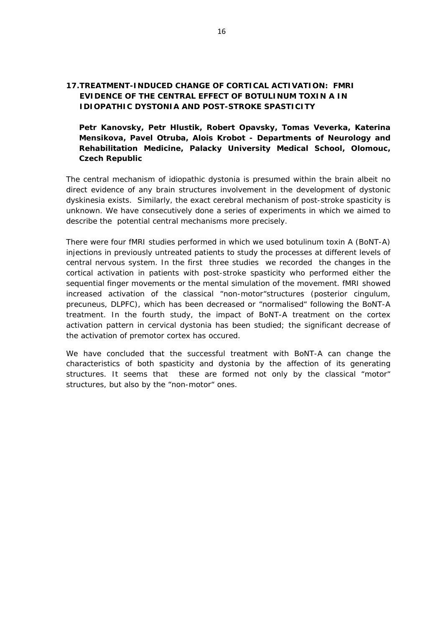## **17.TREATMENT-INDUCED CHANGE OF CORTICAL ACTIVATION: FMRI EVIDENCE OF THE CENTRAL EFFECT OF BOTULINUM TOXIN A IN IDIOPATHIC DYSTONIA AND POST-STROKE SPASTICITY**

**Petr Kanovsky, Petr Hlustik, Robert Opavsky, Tomas Veverka, Katerina Mensikova, Pavel Otruba, Alois Krobot -** *Departments of Neurology and Rehabilitation Medicine, Palacky University Medical School, Olomouc, Czech Republic*

The central mechanism of idiopathic dystonia is presumed within the brain albeit no direct evidence of any brain structures involvement in the development of dystonic dyskinesia exists. Similarly, the exact cerebral mechanism of post-stroke spasticity is unknown. We have consecutively done a series of experiments in which we aimed to describe the potential central mechanisms more precisely.

There were four fMRI studies performed in which we used botulinum toxin A (BoNT-A) injections in previously untreated patients to study the processes at different levels of central nervous system. In the first three studies we recorded the changes in the cortical activation in patients with post-stroke spasticity who performed either the sequential finger movements or the mental simulation of the movement. fMRI showed increased activation of the classical "non-motor"structures (posterior cingulum, precuneus, DLPFC), which has been decreased or "normalised" following the BoNT-A treatment. In the fourth study, the impact of BoNT-A treatment on the cortex activation pattern in cervical dystonia has been studied; the significant decrease of the activation of premotor cortex has occured.

We have concluded that the successful treatment with BoNT-A can change the characteristics of both spasticity and dystonia by the affection of its generating structures. It seems that these are formed not only by the classical "motor" structures, but also by the "non-motor" ones.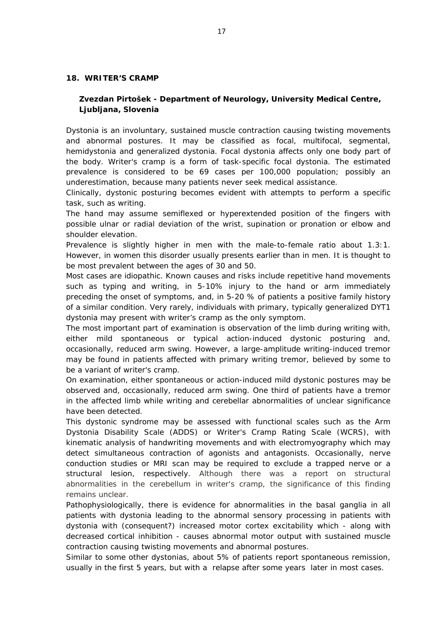#### **18. WRITER'S CRAMP**

## **Zvezdan Pirtošek -** *Department of Neurology, University Medical Centre, Ljubljana, Slovenia*

Dystonia is an involuntary, sustained muscle contraction causing twisting movements and abnormal postures. It may be classified as focal, multifocal, segmental, hemidystonia and generalized dystonia. Focal dystonia affects only one body part of the body. Writer's cramp is a form of task-specific focal dystonia. The estimated prevalence is considered to be 69 cases per 100,000 population; possibly an underestimation, because many patients never seek medical assistance.

Clinically, dystonic posturing becomes evident with attempts to perform a specific task, such as writing.

The hand may assume semiflexed or hyperextended position of the fingers with possible ulnar or radial deviation of the wrist, supination or pronation or elbow and shoulder elevation.

Prevalence is slightly higher in men with the male-to-female ratio about 1.3:1. However, in women this disorder usually presents earlier than in men. It is thought to be most prevalent between the ages of 30 and 50.

Most cases are idiopathic. Known causes and risks include repetitive hand movements such as typing and writing, in 5-10% injury to the hand or arm immediately preceding the onset of symptoms, and, in 5-20 % of patients a positive family history of a similar condition. Very rarely, individuals with primary, typically generalized DYT1 dystonia may present with writer's cramp as the only symptom.

The most important part of examination is observation of the limb during writing with, either mild spontaneous or typical action-induced dystonic posturing and, occasionally, reduced arm swing. However, a large-amplitude writing-induced tremor may be found in patients affected with primary writing tremor, believed by some to be a variant of writer's cramp.

On examination, either spontaneous or action-induced mild dystonic postures may be observed and, occasionally, reduced arm swing. One third of patients have a tremor in the affected limb while writing and cerebellar abnormalities of unclear significance have been detected.

This dystonic syndrome may be assessed with functional scales such as the Arm Dystonia Disability Scale (ADDS) or Writer's Cramp Rating Scale (WCRS), with kinematic analysis of handwriting movements and with electromyography which may detect simultaneous contraction of agonists and antagonists. Occasionally, nerve conduction studies or MRI scan may be required to exclude a trapped nerve or a structural lesion, respectively. Although there was a report on structural abnormalities in the cerebellum in writer's cramp, the significance of this finding remains unclear.

Pathophysiologically, there is evidence for abnormalities in the basal ganglia in all patients with dystonia leading to the abnormal sensory processing in patients with dystonia with (consequent?) increased motor cortex excitability which - along with decreased cortical inhibition - causes abnormal motor output with sustained muscle contraction causing twisting movements and abnormal postures.

Similar to some other dystonias, about 5% of patients report spontaneous remission, usually in the first 5 years, but with a relapse after some years later in most cases.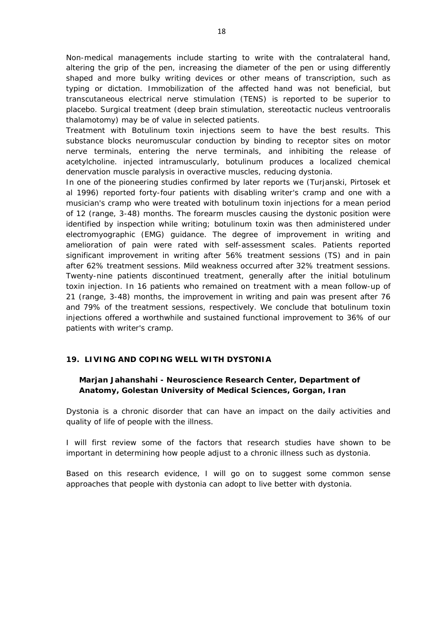Non-medical managements include starting to write with the contralateral hand, altering the grip of the pen, increasing the diameter of the pen or using differently shaped and more bulky writing devices or other means of transcription, such as typing or dictation. Immobilization of the affected hand was not beneficial, but transcutaneous electrical nerve stimulation (TENS) is reported to be superior to placebo. Surgical treatment (deep brain stimulation, stereotactic nucleus ventrooralis thalamotomy) may be of value in selected patients.

Treatment with Botulinum toxin injections seem to have the best results. This substance blocks neuromuscular conduction by binding to receptor sites on motor nerve terminals, entering the nerve terminals, and inhibiting the release of acetylcholine. injected intramuscularly, botulinum produces a localized chemical denervation muscle paralysis in overactive muscles, reducing dystonia.

In one of the pioneering studies confirmed by later reports we (Turjanski, Pirtosek et al 1996) reported forty-four patients with disabling writer's cramp and one with a musician's cramp who were treated with botulinum toxin injections for a mean period of 12 (range, 3-48) months. The forearm muscles causing the dystonic position were identified by inspection while writing; botulinum toxin was then administered under electromyographic (EMG) guidance. The degree of improvement in writing and amelioration of pain were rated with self-assessment scales. Patients reported significant improvement in writing after 56% treatment sessions (TS) and in pain after 62% treatment sessions. Mild weakness occurred after 32% treatment sessions. Twenty-nine patients discontinued treatment, generally after the initial botulinum toxin injection. In 16 patients who remained on treatment with a mean follow-up of 21 (range, 3-48) months, the improvement in writing and pain was present after 76 and 79% of the treatment sessions, respectively. We conclude that botulinum toxin injections offered a worthwhile and sustained functional improvement to 36% of our patients with writer's cramp.

#### **19. LIVING AND COPING WELL WITH DYSTONIA**

### **Marjan Jahanshahi -** *Neuroscience Research Center, Department of Anatomy, Golestan University of Medical Sciences, Gorgan, Iran*

Dystonia is a chronic disorder that can have an impact on the daily activities and quality of life of people with the illness.

I will first review some of the factors that research studies have shown to be important in determining how people adjust to a chronic illness such as dystonia.

Based on this research evidence, I will go on to suggest some common sense approaches that people with dystonia can adopt to live better with dystonia.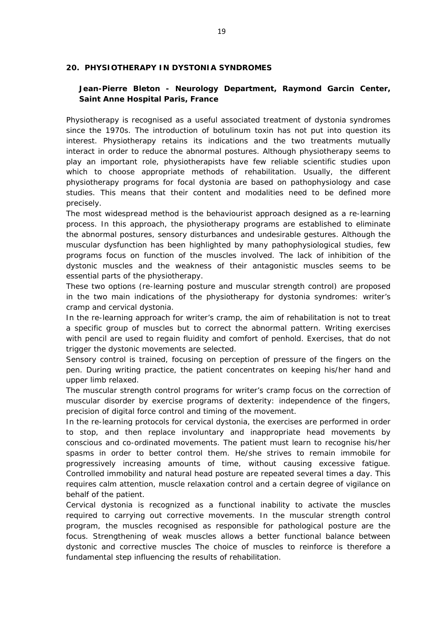#### **20. PHYSIOTHERAPY IN DYSTONIA SYNDROMES**

## **Jean-Pierre Bleton -** *Neurology Department, Raymond Garcin Center, Saint Anne Hospital Paris, France*

Physiotherapy is recognised as a useful associated treatment of dystonia syndromes since the 1970s. The introduction of botulinum toxin has not put into question its interest. Physiotherapy retains its indications and the two treatments mutually interact in order to reduce the abnormal postures. Although physiotherapy seems to play an important role, physiotherapists have few reliable scientific studies upon which to choose appropriate methods of rehabilitation. Usually, the different physiotherapy programs for focal dystonia are based on pathophysiology and case studies. This means that their content and modalities need to be defined more precisely.

The most widespread method is the behaviourist approach designed as a re-learning process. In this approach, the physiotherapy programs are established to eliminate the abnormal postures, sensory disturbances and undesirable gestures. Although the muscular dysfunction has been highlighted by many pathophysiological studies, few programs focus on function of the muscles involved. The lack of inhibition of the dystonic muscles and the weakness of their antagonistic muscles seems to be essential parts of the physiotherapy.

These two options (re-learning posture and muscular strength control) are proposed in the two main indications of the physiotherapy for dystonia syndromes: writer's cramp and cervical dystonia.

In the re-learning approach for writer's cramp, the aim of rehabilitation is not to treat a specific group of muscles but to correct the abnormal pattern. Writing exercises with pencil are used to regain fluidity and comfort of penhold. Exercises, that do not trigger the dystonic movements are selected.

Sensory control is trained, focusing on perception of pressure of the fingers on the pen. During writing practice, the patient concentrates on keeping his/her hand and upper limb relaxed.

The muscular strength control programs for writer's cramp focus on the correction of muscular disorder by exercise programs of dexterity: independence of the fingers, precision of digital force control and timing of the movement.

In the re-learning protocols for cervical dystonia, the exercises are performed in order to stop, and then replace involuntary and inappropriate head movements by conscious and co-ordinated movements. The patient must learn to recognise his/her spasms in order to better control them. He/she strives to remain immobile for progressively increasing amounts of time, without causing excessive fatigue. Controlled immobility and natural head posture are repeated several times a day. This requires calm attention, muscle relaxation control and a certain degree of vigilance on behalf of the patient.

Cervical dystonia is recognized as a functional inability to activate the muscles required to carrying out corrective movements. In the muscular strength control program, the muscles recognised as responsible for pathological posture are the focus. Strengthening of weak muscles allows a better functional balance between dystonic and corrective muscles The choice of muscles to reinforce is therefore a fundamental step influencing the results of rehabilitation.